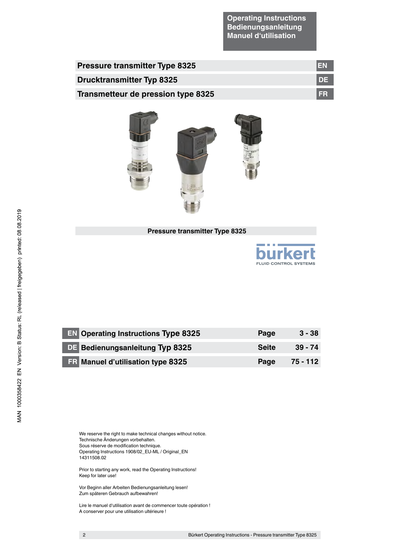**Operating Instructions Bedienungsanleitung Manuel d'utilisation**

| <b>Pressure transmitter Type 8325</b> | 1EN.      |
|---------------------------------------|-----------|
| <b>Drucktransmitter Typ 8325</b>      | <b>DE</b> |
| Transmetteur de pression type 8325    | I FR      |



# **Pressure transmitter Type 8325**



| <b>EN Operating Instructions Type 8325</b> | Page         | $3 - 38$  |
|--------------------------------------------|--------------|-----------|
| <b>DE Bedienungsanleitung Typ 8325</b>     | <b>Seite</b> | $39 - 74$ |
| <b>FR</b> Manuel d'utilisation type 8325   | Page         | 75 - 112  |

We reserve the right to make technical changes without notice. Technische Änderungen vorbehalten. Sous réserve de modification technique. Operating Instructions 1908/02\_EU-ML / Original\_EN 14311508.02

Prior to starting any work, read the Operating Instructions! Keep for later use!

Vor Beginn aller Arbeiten Bedienungsanleitung lesen! Zum späteren Gebrauch aufbewahren!

Lire le manuel d'utilisation avant de commencer toute opération ! A conserver pour une utilisation ultérieure !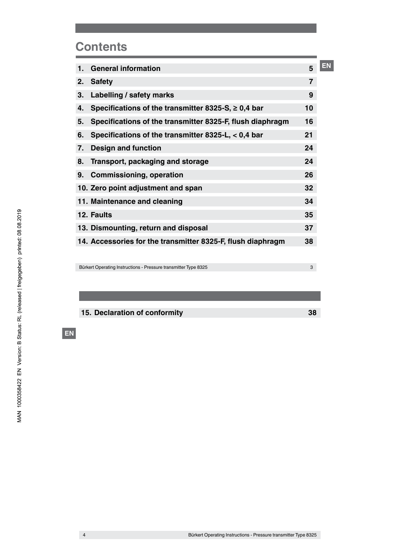# **Contents**

| 1. | <b>General information</b>                                  | 5              | ΞN |
|----|-------------------------------------------------------------|----------------|----|
| 2. | <b>Safety</b>                                               | $\overline{7}$ |    |
| 3. | Labelling / safety marks                                    | 9              |    |
| 4. | Specifications of the transmitter 8325-S, $\geq$ 0,4 bar    | 10             |    |
| 5. | Specifications of the transmitter 8325-F, flush diaphragm   | 16             |    |
| 6. | Specifications of the transmitter 8325-L, < 0,4 bar         | 21             |    |
| 7. | <b>Design and function</b>                                  | 24             |    |
| 8. | Transport, packaging and storage                            | 24             |    |
| 9. | <b>Commissioning, operation</b>                             | 26             |    |
|    | 10. Zero point adjustment and span                          | 32             |    |
|    | 11. Maintenance and cleaning                                | 34             |    |
|    | 12. Faults                                                  | 35             |    |
|    | 13. Dismounting, return and disposal                        | 37             |    |
|    | 14. Accessories for the transmitter 8325-F, flush diaphragm | 38             |    |

Bürkert Operating Instructions - Pressure transmitter Type 8325

**15. Declaration of conformity 38**

3

**EN**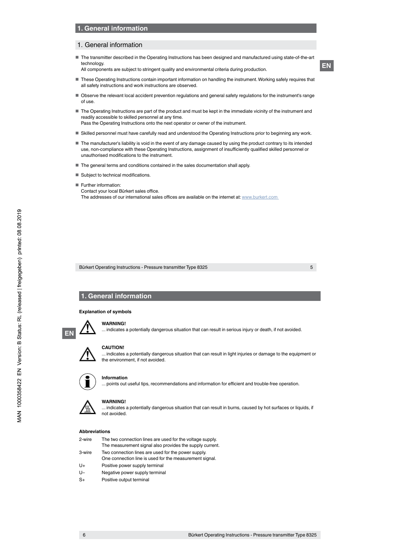#### 1. General information

■ The transmitter described in the Operating Instructions has been designed and manufactured using state-of-the-art technology.

All components are subject to stringent quality and environmental criteria during production.

- These Operating Instructions contain important information on handling the instrument. Working safely requires that all safety instructions and work instructions are observed.
- Observe the relevant local accident prevention regulations and general safety regulations for the instrument's range of use.
- The Operating Instructions are part of the product and must be kept in the immediate vicinity of the instrument and readily accessible to skilled personnel at any time.

Pass the Operating Instructions onto the next operator or owner of the instrument.

- Skilled personnel must have carefully read and understood the Operating Instructions prior to beginning any work.
- The manufacturer's liability is void in the event of any damage caused by using the product contrary to its intended use, non-compliance with these Operating Instructions, assignment of insufficiently qualified skilled personnel or unauthorised modifications to the instrument.
- The general terms and conditions contained in the sales documentation shall apply.
- Subject to technical modifications.
- Further information:
	- Contact your local Bürkert sales office.

The addresses of our international sales offices are available on the internet at: www.burkert.com

Bürkert Operating Instructions - Pressure transmitter Type 8325

5

# **1. General information**

#### **Explanation of symbols**



#### **WARNING!**

. indicates a potentially dangerous situation that can result in serious injury or death, if not avoided.



# **CAUTION!**

... indicates a potentially dangerous situation that can result in light injuries or damage to the equipment or the environment, if not avoided.



#### **Information**

. points out useful tips, recommendations and information for efficient and trouble-free operation.

# **WARNING!**

... indicates a potentially dangerous situation that can result in burns, caused by hot surfaces or liquids, if **not avoided.** 

#### **Abbreviations**

| 2-wire | The two connection lines are used for the voltage supply. |
|--------|-----------------------------------------------------------|
|        | The measurement signal also provides the supply current.  |
| 3-wire | Two connection lines are used for the power supply.       |
|        | One connection line is used for the measurement signal.   |
| U+     | Positive power supply terminal                            |
| . .    | .                                                         |

- U– Negative power supply terminal
- S+ Positive output terminal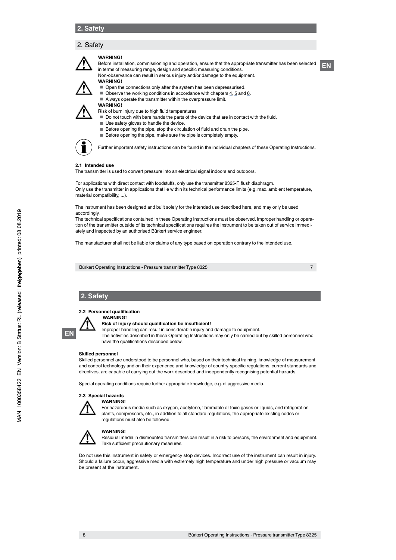# 2. Safety

# **WARNING!**

**EN** Before installation, commissioning and operation, ensure that the appropriate transmitter has been selected in terms of measuring range, design and specific measuring conditions. Non-observance can result in serious injury and/or damage to the equipment.



**WARNING!** ■ Open the connections only after the system has been depressurised.<br>■ Observe the working conditions in accordance with chapters 4,5 and

- Observe the working conditions in accordance with chapters  $4, 5$  and  $6$ .
- Always operate the transmitter within the overpressure limit.

**WARNING!**

- Risk of burn injury due to high fluid temperatures
- Do not touch with bare hands the parts of the device that are in contact with the fluid.
- Use safety gloves to handle the device.
- Before opening the pipe, stop the circulation of fluid and drain the pipe.
- Before opening the pipe, make sure the pipe is completely empty.



Further important safety instructions can be found in the individual chapters of these Operating Instructions.

#### **2.1 Intended use**

The transmitter is used to convert pressure into an electrical signal indoors and outdoors.

For applications with direct contact with foodstuffs, only use the transmitter 8325-F, flush diaphragm. Only use the transmitter in applications that lie within its technical performance limits (e.g. max. ambient temperature, material compatibility, ...).

The instrument has been designed and built solely for the intended use described here, and may only be used accordingly.

The technical specifications contained in these Operating Instructions must be observed. Improper handling or operation of the transmitter outside of its technical specifications requires the instrument to be taken out of service immediately and inspected by an authorised Bürkert service engineer.

The manufacturer shall not be liable for claims of any type based on operation contrary to the intended use.

Bürkert Operating Instructions - Pressure transmitter Type 8325

7

# **2. Safety**

#### **2.2 Personnel qualification**

 **WARNING!**



**Risk of injury should qualification be insufficient!** Improper handling can result in considerable injury and damage to equipment.

The activities described in these Operating Instructions may only be carried out by skilled personnel who have the qualifications described below.

#### **Skilled personnel**

Skilled personnel are understood to be personnel who, based on their technical training, knowledge of measurement and control technology and on their experience and knowledge of country-specific regulations, current standards and directives, are capable of carrying out the work described and independently recognising potential hazards.

Special operating conditions require further appropriate knowledge, e.g. of aggressive media.

# **2.3 Special hazards**



**WARNING!** For hazardous media such as oxygen, acetylene, flammable or toxic gases or liquids, and refrigeration plants, compressors, etc., in addition to all standard regulations, the appropriate existing codes or regulations must also be followed.



8

# **WARNING!**

Residual media in dismounted transmitters can result in a risk to persons, the environment and equipment. Take sufficient precautionary measures.

Do not use this instrument in safety or emergency stop devices. Incorrect use of the instrument can result in injury. Should a failure occur, aggressive media with extremely high temperature and under high pressure or vacuum may be present at the instrument.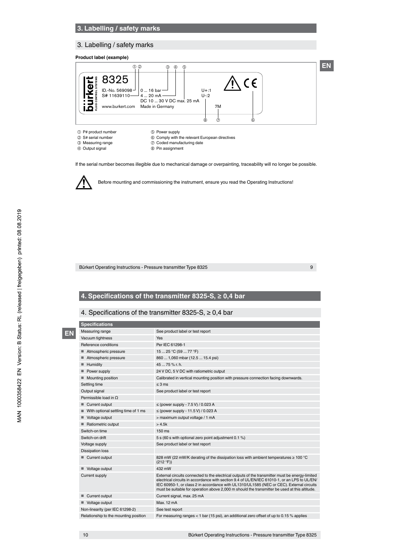# **3. Labelling / safety marks**

# 3. Labelling / safety marks

**Product label (example)** 



- ① P# product number <br>② S# serial number ⑥ Comply with t **2** S# serial number **COMP COMP COMP COMP COMP COMP COMP COMP COMP COMP COMP COMP COMP COMP COMP COMP COMP COMP COMP COMP COMP COMP COMP COMP COMP COMP COMP COMP COMP**
- 
- **3** Measuring range **C** Coded manufacturing date<br> **4** Output signal **C** Pin assignment <sup>®</sup> Pin assignment

If the serial number becomes illegible due to mechanical damage or overpainting, traceability will no longer be possible.



**EN**

Before mounting and commissioning the instrument, ensure you read the Operating Instructions!

Bürkert Operating Instructions - Pressure transmitter Type 8325

9

# **4. Specifications of the transmitter 8325-S, ≥ 0,4 bar**

# 4. Specifications of the transmitter 8325-S, ≥ 0,4 bar

| <b>Specifications</b>                    |                                                                                                                                                                                                                                                                                                                                                                                              |
|------------------------------------------|----------------------------------------------------------------------------------------------------------------------------------------------------------------------------------------------------------------------------------------------------------------------------------------------------------------------------------------------------------------------------------------------|
| Measuring range                          | See product label or test report                                                                                                                                                                                                                                                                                                                                                             |
| Vacuum tightness                         | Yes                                                                                                                                                                                                                                                                                                                                                                                          |
| Reference conditions                     | Per IEC 61298-1                                                                                                                                                                                                                                                                                                                                                                              |
| ■ Atmospheric pressure                   | 15  25 °C (59  77 °F)                                                                                                                                                                                                                                                                                                                                                                        |
| Atmospheric pressure<br>ш                | 860  1,060 mbar (12.5  15.4 psi)                                                                                                                                                                                                                                                                                                                                                             |
| Humidity                                 | 4575% r.h.                                                                                                                                                                                                                                                                                                                                                                                   |
| Power supply                             | 24 V DC, 5 V DC with ratiometric output                                                                                                                                                                                                                                                                                                                                                      |
| Mounting position                        | Calibrated in vertical mounting position with pressure connection facing downwards.                                                                                                                                                                                                                                                                                                          |
| Settling time                            | $\leq$ 3 ms                                                                                                                                                                                                                                                                                                                                                                                  |
| Output signal                            | See product label or test report                                                                                                                                                                                                                                                                                                                                                             |
| Permissible load in $\Omega$             |                                                                                                                                                                                                                                                                                                                                                                                              |
| Current output                           | $\le$ (power supply - 7.5 V) / 0.023 A                                                                                                                                                                                                                                                                                                                                                       |
| With optional settling time of 1 ms<br>ш | ≤ (power supply - 11.5 V) / 0.023 A                                                                                                                                                                                                                                                                                                                                                          |
| Voltage output                           | > maximum output voltage / 1 mA                                                                                                                                                                                                                                                                                                                                                              |
| Ratiometric output                       | >4.5k                                                                                                                                                                                                                                                                                                                                                                                        |
| Switch-on time                           | $150 \text{ ms}$                                                                                                                                                                                                                                                                                                                                                                             |
| Switch-on drift                          | 5 s (60 s with optional zero point adjustment 0.1 %)                                                                                                                                                                                                                                                                                                                                         |
| Voltage supply                           | See product label or test report                                                                                                                                                                                                                                                                                                                                                             |
| <b>Dissipation loss</b>                  |                                                                                                                                                                                                                                                                                                                                                                                              |
| Current output                           | 828 mW (22 mW/K derating of the dissipation loss with ambient temperatures $\geq 100^{\circ}$ C<br>(212 °F))                                                                                                                                                                                                                                                                                 |
| Voltage output                           | 432 mW                                                                                                                                                                                                                                                                                                                                                                                       |
| Current supply                           | External circuits connected to the electrical outputs of the transmitter must be energy-limited<br>electrical circuits in accordance with section 9.4 of UL/EN/IEC 61010-1, or an LPS to UL/EN/<br>IEC 60950-1, or class 2 in accordance with UL1310/UL1585 (NEC or CEC). External circuits<br>must be suitable for operation above 2,000 m should the transmitter be used at this altitude. |
| Current output<br>■                      | Current signal, max. 25 mA                                                                                                                                                                                                                                                                                                                                                                   |
| Voltage output                           | Max. 12 mA                                                                                                                                                                                                                                                                                                                                                                                   |
| Non-linearity (per IEC 61298-2)          | See test report                                                                                                                                                                                                                                                                                                                                                                              |
|                                          |                                                                                                                                                                                                                                                                                                                                                                                              |

Relationship to the mounting position For measuring ranges < 1 bar (15 psi), an additional zero offset of up to 0.15 % applies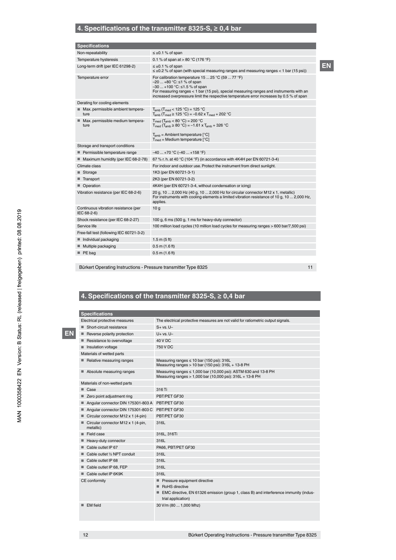# **4. Specifications of the transmitter 8325-S, ≥ 0,4 bar**

| <b>Specifications</b>                               |                                                                                                                                                                                                                                                                                                                   |
|-----------------------------------------------------|-------------------------------------------------------------------------------------------------------------------------------------------------------------------------------------------------------------------------------------------------------------------------------------------------------------------|
| Non-repeatability                                   | $\leq \pm 0.1$ % of span                                                                                                                                                                                                                                                                                          |
| Temperature hysteresis                              | 0.1 % of span at > 80 °C (176 °F)                                                                                                                                                                                                                                                                                 |
| Long-term drift (per IEC 61298-2)                   | $\leq \pm 0.1$ % of span<br>$\leq \pm 0.2$ % of span (with special measuring ranges and measuring ranges < 1 bar (15 psi))                                                                                                                                                                                        |
| Temperature error                                   | For calibration temperature 15  25 °C (59  77 °F)<br>$-20+80$ °C: $\leq 1$ % of span<br>$-30+100$ °C: $\leq 1.5$ % of span<br>For measuring ranges < 1 bar (15 psi), special measuring ranges and instruments with an<br>increased overpressure limit the respective temperature error increases by 0.5 % of span |
| Derating for cooling elements                       |                                                                                                                                                                                                                                                                                                                   |
| Max. permissible ambient tempera-<br>ш<br>ture      | $T_{amb}$ ( $T_{med}$ < 125 °C) = 125 °C<br>$T_{amb}$ ( $T_{med}$ ≥ 125 °C) = -0.62 x $T_{med}$ + 202 °C                                                                                                                                                                                                          |
| Max. permissible medium tempera-<br>ture            | $T_{\text{med}}$ ( $T_{\text{amb}}$ < 80 °C) = 200 °C<br>$T_{\text{med}}$ ( $T_{\text{amb}} \ge 80 \text{ °C}$ ) = -1.61 x $T_{\text{amb}}$ + 326 °C                                                                                                                                                              |
|                                                     | $T_{amb}$ = Ambient temperature $[°C]$<br>$T_{med}$ = Medium temperature $[^{\circ}C]$                                                                                                                                                                                                                            |
| Storage and transport conditions                    |                                                                                                                                                                                                                                                                                                                   |
| Permissible temperature range<br>ш                  | $-40+70$ °C ( $-40+158$ °F)                                                                                                                                                                                                                                                                                       |
| Maximum humidity (per IEC 68-2-78)<br>■             | 67 % r. h. at 40 °C (104 °F) (in accordance with 4K4H per EN 60721-3-4)                                                                                                                                                                                                                                           |
| Climate class                                       | For indoor and outdoor use. Protect the instrument from direct sunlight.                                                                                                                                                                                                                                          |
| Storage<br>ш                                        | 1K3 (per EN 60721-3-1)                                                                                                                                                                                                                                                                                            |
| Transport                                           | 2K3 (per EN 60721-3-2)                                                                                                                                                                                                                                                                                            |
| Operation                                           | 4K4H (per EN 60721-3-4, without condensation or icing)                                                                                                                                                                                                                                                            |
| Vibration resistance (per IEC 68-2-6)               | 20 g, 10  2,000 Hz (40 g, 10  2,000 Hz for circular connector M12 x 1, metallic)<br>For instruments with cooling elements a limited vibration resistance of 10 g, 10  2,000 Hz,<br>applies.                                                                                                                       |
| Continuous vibration resistance (per<br>IEC 68-2-6) | 10q                                                                                                                                                                                                                                                                                                               |
| Shock resistance (per IEC 68-2-27)                  | 100 g, 6 ms (500 g, 1 ms for heavy-duty connector)                                                                                                                                                                                                                                                                |
| Service life                                        | 100 million load cycles (10 million load cycles for measuring ranges > 600 bar/7,500 psi)                                                                                                                                                                                                                         |
| Free-fall test (following IEC 60721-3-2)            |                                                                                                                                                                                                                                                                                                                   |
| Individual packaging                                | 1.5 m (5 ft)                                                                                                                                                                                                                                                                                                      |
| Multiple packaging<br>■                             | $0.5$ m $(1.6$ ft)                                                                                                                                                                                                                                                                                                |
| PE bag                                              | $0.5$ m $(1.6$ ft)                                                                                                                                                                                                                                                                                                |

Bürkert Operating Instructions - Pressure transmitter Type 8325

11

# **4. Specifications of the transmitter 8325-S, ≥ 0,4 bar**

**EN**

**Specification** 

| <u>opcomodiono</u>                                   |                                                                                                                                                                    |
|------------------------------------------------------|--------------------------------------------------------------------------------------------------------------------------------------------------------------------|
| Electrical protective measures                       | The electrical protective measures are not valid for ratiometric output signals.                                                                                   |
| Short-circuit resistance<br>ш                        | $S + vs. U -$                                                                                                                                                      |
| Reverse polarity protection<br>■                     | $U+vs. U-$                                                                                                                                                         |
| Resistance to overvoltage<br>ш                       | <b>40 V DC</b>                                                                                                                                                     |
| Insulation voltage<br>■                              | 750 V DC                                                                                                                                                           |
| Materials of wetted parts                            |                                                                                                                                                                    |
| Relative measuring ranges<br>ш                       | Measuring ranges ≤ 10 bar (150 psi): 316L<br>Measuring ranges > 10 bar (150 psi): 316L + 13-8 PH                                                                   |
| Absolute measuring ranges<br>٠                       | Measuring ranges ≤ 1,000 bar (10,000 psi): ASTM 630 and 13-8 PH<br>Measuring ranges > 1,000 bar (10,000 psi): 316L + 13-8 PH                                       |
| Materials of non-wetted parts                        |                                                                                                                                                                    |
| ■ Case                                               | 316 Ti                                                                                                                                                             |
| Zero point adjustment ring<br>■                      | PBT/PET GF30                                                                                                                                                       |
| Angular connector DIN 175301-803 A<br>■              | PBT/PET GF30                                                                                                                                                       |
| Angular connector DIN 175301-803 C<br>ш              | PBT/PET GF30                                                                                                                                                       |
| Circular connector M12 x 1 (4-pin)<br>٠              | PBT/PET GF30                                                                                                                                                       |
| Circular connector M12 x 1 (4-pin,<br>■<br>metallic) | 316L                                                                                                                                                               |
| Field case<br>٠                                      | 316L, 316Ti                                                                                                                                                        |
| Heavy-duty connector<br>■                            | 316L                                                                                                                                                               |
| Cable outlet IP 67                                   | PA66, PBT/PET GF30                                                                                                                                                 |
| Cable outlet 1/2 NPT conduit<br>■                    | 316L                                                                                                                                                               |
| Cable outlet IP 68<br>п                              | 316L                                                                                                                                                               |
| Cable outlet IP 68, FEP<br>■                         | 316L                                                                                                                                                               |
| Cable outlet IP 6K9K                                 | 316L                                                                                                                                                               |
| CE conformity                                        | Pressure equipment directive<br>RoHS directive<br>٠<br>EMC directive, EN 61326 emission (group 1, class B) and interference immunity (indus-<br>trial application) |
| EM field<br>▬                                        | 30 V/m (80  1,000 Mhz)                                                                                                                                             |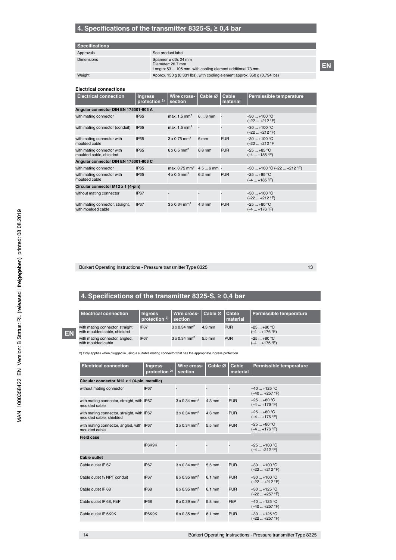# **4. Specifications of the transmitter 8325-S, ≥ 0,4 bar**

# **Specifications**

| Approvals         | See product label                                                                                      |
|-------------------|--------------------------------------------------------------------------------------------------------|
| <b>Dimensions</b> | Spanner width: 24 mm<br>Diameter: 26.7 mm<br>Length: 53  105 mm, with cooling element additional 73 mm |
| Weiaht            | Approx. 150 q (0.331 lbs), with cooling element approx. 350 q (0.794 lbs)                              |
|                   |                                                                                                        |

**EN**

#### **Electrical connections**

| <b>Electrical connection</b>                           | <b>Ingress</b><br>protection $2$ ) | Wire cross-<br>section                  | Cable $\varnothing$      | Cable<br>material | <b>Permissible temperature</b> |  |
|--------------------------------------------------------|------------------------------------|-----------------------------------------|--------------------------|-------------------|--------------------------------|--|
| Angular connector DIN EN 175301-803 A                  |                                    |                                         |                          |                   |                                |  |
| with mating connector                                  | <b>IP65</b>                        | max. $1.5$ mm <sup>2</sup>              | $68$ mm                  | L.                | $-30+100$ °C<br>(-22  +212 °F) |  |
| with mating connector (conduit)                        | IP65                               | max. $1.5 \text{ mm}^2$                 |                          |                   | $-30+100 °C$<br>(-22  +212 °F) |  |
| with mating connector with<br>moulded cable            | <b>IP65</b>                        | $3 \times 0.75$ mm <sup>2</sup>         | 6 mm                     | <b>PUR</b>        | $-30+100$ °C<br>(-22  +212 °F  |  |
| with mating connector with<br>moulded cable, shielded  | IP65                               | $6 \times 0.5$ mm <sup>2</sup>          | 6.8 mm                   | <b>PUR</b>        | $-25+85$ °C<br>$(-4  +185 °F)$ |  |
| Angular connector DIN EN 175301-803 C                  |                                    |                                         |                          |                   |                                |  |
| with mating connector                                  | IP <sub>65</sub>                   | $max. 0.75$ mm <sup>2</sup> 4.5  6 mm - |                          |                   | $-30+100$ °C ( $-22+212$ °F)   |  |
| with mating connector with<br>moulded cable            | <b>IP65</b>                        | $4 \times 0.5$ mm <sup>2</sup>          | $6.2 \text{ mm}$         | <b>PUR</b>        | $-25+85$ °C<br>(-4  +185 °F)   |  |
| Circular connector M12 x 1 (4-pin)                     |                                    |                                         |                          |                   |                                |  |
| without mating connector                               | IP67                               |                                         | $\overline{\phantom{a}}$ |                   | $-30+100 °C$<br>(-22  +212 °F) |  |
| with mating connector, straight,<br>with moulded cable | <b>IP67</b>                        | $3 \times 0.34$ mm <sup>2</sup>         | $4.3 \text{ mm}$         | <b>PUR</b>        | $-25+80 °C$<br>(–4 … +176 °F)  |  |

Bürkert Operating Instructions - Pressure transmitter Type 8325

13

# **4. Specifications of the transmitter 8325-S, ≥ 0,4 bar**

|            | <b>Electrical connection</b>                                     | <b>Ingress</b><br>protection $2$ ) | l Wire cross- I Cable ∅ I Cable ˈ<br>section |                  | <b>I</b> material | Permissible temperature        |
|------------|------------------------------------------------------------------|------------------------------------|----------------------------------------------|------------------|-------------------|--------------------------------|
| <b>LEN</b> | with mating connector, straight,<br>with moulded cable, shielded | <b>IP67</b>                        | $3 \times 0.34$ mm <sup>2</sup>              | $4.3 \text{ mm}$ | <b>PUR</b>        | $-25+80 °C$<br>$(-4  +176 °F)$ |
|            | with mating connector, angled,<br>with moulded cable             | <b>IP67</b>                        | $3 \times 0.34$ mm <sup>2</sup>              | $5.5 \text{ mm}$ | <b>PUR</b>        | $-25+80 °C$<br>$(-4  +176 °F)$ |

2) Only applies when plugged in using a suitable mating connector that has the appropriate ingress protection

| <b>Electrical connection</b>                                          | <b>Ingress</b><br>protection <sup>2)</sup> | Wire cross-<br>section          | Cable Ø          | Cable<br>material | Permissible temperature          |
|-----------------------------------------------------------------------|--------------------------------------------|---------------------------------|------------------|-------------------|----------------------------------|
| Circular connector M12 x 1 (4-pin, metallic)                          |                                            |                                 |                  |                   |                                  |
| without mating connector                                              | <b>IP67</b>                                |                                 |                  |                   | $-40+125$ °C<br>$(-40  +257 °F)$ |
| with mating connector, straight, with IP67<br>moulded cable           |                                            | $3 \times 0.34$ mm <sup>2</sup> | $4.3 \text{ mm}$ | <b>PUR</b>        | $-25+80 °C$<br>$(-4  +176 °F)$   |
| with mating connector, straight, with IP67<br>moulded cable, shielded |                                            | $3 \times 0.34$ mm <sup>2</sup> | $4.3 \text{ mm}$ | <b>PUR</b>        | $-25+80 °C$<br>$(-4  +176 °F)$   |
| with mating connector, angled, with IP67<br>moulded cable             |                                            | $3 \times 0.34$ mm <sup>2</sup> | $5.5 \text{ mm}$ | <b>PUR</b>        | $-25+80 °C$<br>$(-4  +176 °F)$   |
| <b>Field case</b>                                                     |                                            |                                 |                  |                   |                                  |
|                                                                       | IP6K9K                                     |                                 |                  |                   | $-25+100 °C$<br>$(-4  +212 °F)$  |
| Cable outlet                                                          |                                            |                                 |                  |                   |                                  |
| Cable outlet IP 67                                                    | <b>IP67</b>                                | $3 \times 0.34$ mm <sup>2</sup> | $5.5 \text{ mm}$ | <b>PUR</b>        | $-30+100$ °C<br>$(-22  +212 °F)$ |
| Cable outlet 1/2 NPT conduit                                          | <b>IP67</b>                                | 6 x 0.35 mm <sup>2</sup>        | $6.1 \text{ mm}$ | <b>PUR</b>        | $-30+100$ °C<br>(-22  +212 °F)   |
| Cable outlet IP 68                                                    | <b>IP68</b>                                | $6 \times 0.35$ mm <sup>2</sup> | $6.1 \text{ mm}$ | <b>PUR</b>        | $-30+125$ °C<br>(-22  +257 °F)   |
| Cable outlet IP 68, FEP                                               | <b>IP68</b>                                | $6 \times 0.39$ mm <sup>2</sup> | 5.8 mm           | <b>FEP</b>        | $-40+125$ °C<br>$(-40  +257 °F)$ |
| Cable outlet IP 6K9K                                                  | IP6K9K                                     | 6 x 0.35 mm <sup>2</sup>        | $6.1 \text{ mm}$ | <b>PUR</b>        | $-30+125$ °C<br>(-22  +257 °F)   |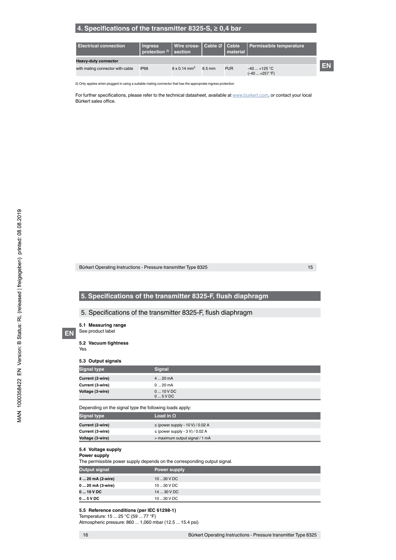# **4. Specifications of the transmitter 8325-S, ≥ 0,4 bar**

| <b>Electrical connection</b>     | <b>Ingress</b><br>protection $2)$ section |                                 |                  | material   | Wire cross-   Cable ∅   Cable   Permissible temperature |  |
|----------------------------------|-------------------------------------------|---------------------------------|------------------|------------|---------------------------------------------------------|--|
| <b>Heavy-duty connector</b>      |                                           |                                 |                  |            |                                                         |  |
| with mating connector with cable | <b>IP68</b>                               | $6 \times 0.14$ mm <sup>2</sup> | $6.5 \text{ mm}$ | <b>PUR</b> | $-40+125$ °C<br>$(-40+257 °F)$                          |  |

2) Only applies when plugged in using a suitable mating connector that has the appropriate ingress protection

For further specifications, please refer to the technical datasheet, available at www.burkert.com, or contact your local Bürkert sales office.

Bürkert Operating Instructions - Pressure transmitter Type 8325

15

# **5. Specifications of the transmitter 8325-F, flush diaphragm**

# 5. Specifications of the transmitter 8325-F, flush diaphragm

**5.1 Measuring range**

See product label

**5.2 Vacuum tightness** 

Yes

**EN**

#### **5.3 Output signals**

| <b>Signal type</b> | <b>Signal</b>          |
|--------------------|------------------------|
| Current (2-wire)   | $420$ mA               |
| Current (3-wire)   | $020$ mA               |
| Voltage (3-wire)   | $010$ V DC<br>$05$ VDC |

Depending on the signal type the following loads apply:

| <b>Signal type</b> | Load in $\Omega$                     |
|--------------------|--------------------------------------|
| Current (2-wire)   | $\le$ (power supply - 10 V) / 0.02 A |
| Current (3-wire)   | $\leq$ (power supply - 3 V) / 0.02 A |
| Voltage (3-wire)   | > maximum output signal / 1 mA       |

#### **5.4 Voltage supply**

#### **Power supply**

The permissible power supply depends on the corresponding output signal.

| Power supply |
|--------------|
| 10 30 V DC   |
| 10 30 V DC   |
| 14  30 V DC  |
| 1030 V DC    |
|              |

**5.5 Reference conditions (per IEC 61298-1)**

Temperature: 15 ... 25 °C (59 ... 77 °F) Atmospheric pressure: 860 ... 1,060 mbar (12.5 ... 15.4 psi)

16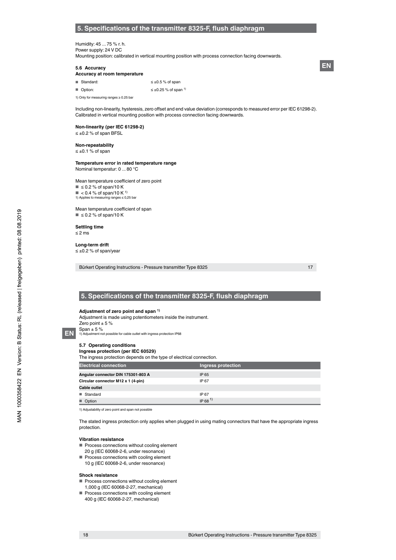#### **5. Specifications of the transmitter 8325-F, flush diaphragm**

#### Humidity: 45 ... 75 % r. h. Power supply: 24 V DC Mounting position: calibrated in vertical mounting position with process connection facing downwards.

#### **5.6 Accuracy**

#### **Accuracy at room temperature**

- Standard:  $≤ ±0.5 %$  of span
- Option:  $≤ ±0.25 %$  of span<sup>1)</sup>

1) Only for measuring ranges ≥ 0.25 bar

Including non-linearity, hysteresis, zero offset and end value deviation (corresponds to measured error per IEC 61298-2). Calibrated in vertical mounting position with process connection facing downwards.

#### **Non-linearity (per IEC 61298-2)** ≤ ±0.2 % of span BFSL

#### **Non-repeatability**

≤ ±0.1 % of span

#### **Temperature error in rated temperature range** Nominal temperatur: 0 ... 80 °C

Mean temperature coefficient of zero point ■  $\leq$  0.2 % of span/10 K  $\blacksquare$  < 0.4 % of span/10 K<sup>1)</sup><br>1) Applies to measuring ranges  $\leq 0.2$ 1) Applies to measuring ranges ≤ 0,25 bar

Mean temperature coefficient of span  $\blacksquare$   $\leq$  0.2 % of span/10 K

#### **Settling time** ≤ 2 ms

**Long-term drift** ≤ ±0.2 % of span/year

Bürkert Operating Instructions - Pressure transmitter Type 8325

17

# **5. Specifications of the transmitter 8325-F, flush diaphragm**

#### **Adjustment of zero point and span 1)**

Adjustment is made using potentiometers inside the instrument. Zero point  $\pm$  5 % Span ± 5 % 1) Adjustment not possible for cable outlet with ingress protection IP68

# **EN**

#### **5.7 Operating conditions Ingress protection (per IEC 60529)**

The ingress protection depends on the type of electrical connection.

| <b>Electrical connection</b>       | Ingress protection |
|------------------------------------|--------------------|
| Angular connector DIN 175301-803 A | IP 65              |
| Circular connector M12 x 1 (4-pin) | IP 67              |
| <b>Cable outlet</b>                |                    |
| ■ Standard                         | IP 67              |
| Option                             | $IP 68^{1}$        |

1) Adjustability of zero point and span not possible

The stated ingress protection only applies when plugged in using mating connectors that have the appropriate ingress protection.

#### **Vibration resistance**

- Process connections without cooling element
- 20 g (IEC 60068-2-6, under resonance)
- Process connections with cooling element 10 g (IEC 60068-2-6, under resonance)

#### **Shock resistance**

18

- Process connections without cooling element
- 1,000 g (IEC 60068-2-27, mechanical)
- Process connections with cooling element 400 g (IEC 60068-2-27, mechanical)

**EN**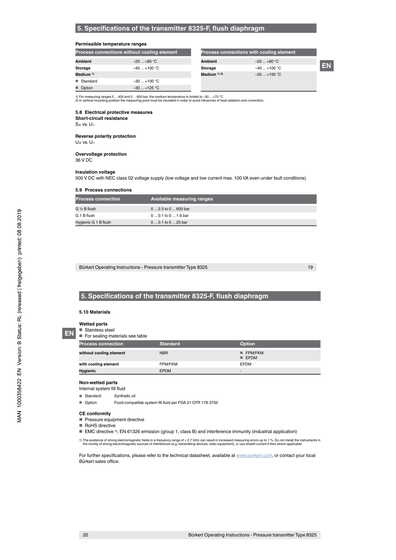#### **Permissible temperature ranges**

|                | Process connections without cooling element |                 | Process connections with cooling element |    |
|----------------|---------------------------------------------|-----------------|------------------------------------------|----|
| <b>Ambient</b> | $-20+80 °C$                                 | <b>Ambient</b>  | $-20+80 °C$                              |    |
| Storage        | $-40+100 °C$                                | Storage         | $-40+100 °C$                             | EN |
| Medium $1$ )   |                                             | Medium $(1)$ 2) | $-20+150$ °C                             |    |
| ■ Standard     | $-30+100 °C$                                |                 |                                          |    |
| ■ Option       | $-30$ +125 °C                               |                 |                                          |    |

# 1) For measuring ranges 0 ... 400 and 0 ... 600 bar, the medium temperature is limited to –30 ... +70 °C.<br>2) In vertical mounting position the measuring point must be insulated in order to avoid influences of heat radiatio

# **5.8 Electrical protective measures**

**Short-circuit resistance**

 $S_+$  vs.  $U_-$ 

### **Reverse polarity protection**

 $U_+$  vs.  $U_-$ 

#### **Overvoltage protection**

36 V DC

#### **Insulation voltage**

500 V DC with NEC class 02 voltage supply (low voltage and low current max. 100 VA even under fault conditions).

#### **5.9 Process connections**

| <b>Process connection</b> | Available measuring ranges |
|---------------------------|----------------------------|
| G ½ B flush               | $02.5$ to $0600$ bar       |
| G 1 B flush               | $00.1$ to $01.6$ bar       |
| Hygienic G 1 B flush      | $00.1$ to $025$ bar        |

Bürkert Operating Instructions - Pressure transmitter Type 8325

19

# **5. Specifications of the transmitter 8325-F, flush diaphragm**

#### **5.10 Materials**

**Wetted parts**

**EN**

■ Stainless steel ■ For sealing materials see table

| <b>Process connection</b> | <b>Standard</b> | <b>Option</b>                         |
|---------------------------|-----------------|---------------------------------------|
| without cooling element   | <b>NBR</b>      | <b>FPM/FKM</b><br>$\blacksquare$ EPDM |
| with cooling element      | FPM/FKM         | <b>EPDM</b>                           |
| Hygienic                  | <b>EPDM</b>     | $\overline{\phantom{0}}$              |

#### **Non-wetted parts**

Internal system fill fluid

■ Standard: Synthetic oil

■ Option: Food-compatible system fill fluid per FDA 21 CFR 178.3750

#### **CE conformity**

- Pressure equipment directive
- RoHS directive
- EMC directive <sup>1)</sup>, EN 61326 emission (group 1, class B) and interference immunity (industrial application)

1) The existence of strong electromagnetic fields in a frequency range of < 2.7 GHz can result in increased measuring errors up to 1 %. Do not install the instruments in<br>the vicinity of strong electromagnetic sources of in

For further specifications, please refer to the technical datasheet, available at www.burkert.com, or contact your local Bürkert sales office.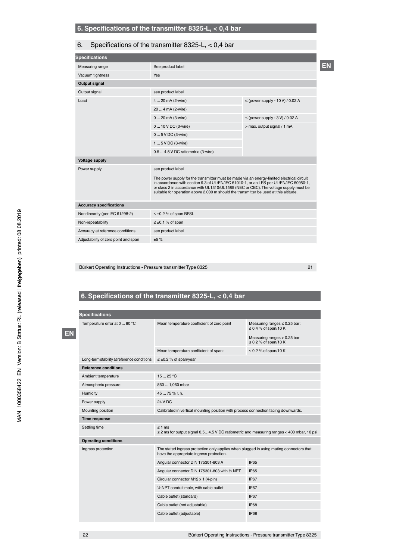# 6. Specifications of the transmitter 8325-L, < 0,4 bar

| <b>Specifications</b>                |                                                                                                                                                                                                                                                                                                                                                                      |                                      |    |  |
|--------------------------------------|----------------------------------------------------------------------------------------------------------------------------------------------------------------------------------------------------------------------------------------------------------------------------------------------------------------------------------------------------------------------|--------------------------------------|----|--|
| Measuring range                      | See product label                                                                                                                                                                                                                                                                                                                                                    |                                      | EN |  |
| Vacuum tightness                     | <b>Yes</b>                                                                                                                                                                                                                                                                                                                                                           |                                      |    |  |
| <b>Output signal</b>                 |                                                                                                                                                                                                                                                                                                                                                                      |                                      |    |  |
| Output signal                        | see product label                                                                                                                                                                                                                                                                                                                                                    |                                      |    |  |
| Load                                 | 4  20 mA (2-wire)                                                                                                                                                                                                                                                                                                                                                    | $\le$ (power supply - 10 V) / 0.02 A |    |  |
|                                      | 20  4 mA (2-wire)                                                                                                                                                                                                                                                                                                                                                    |                                      |    |  |
|                                      | 0  20 mA (3-wire)                                                                                                                                                                                                                                                                                                                                                    | $\leq$ (power supply - 3 V) / 0.02 A |    |  |
|                                      | 0  10 V DC (3-wire)                                                                                                                                                                                                                                                                                                                                                  | > max. output signal / 1 mA          |    |  |
|                                      | 0  5 V DC (3-wire)                                                                                                                                                                                                                                                                                                                                                   |                                      |    |  |
|                                      | 1  5 V DC (3-wire)                                                                                                                                                                                                                                                                                                                                                   |                                      |    |  |
|                                      | 0.5  4.5 V DC ratiometric (3-wire)                                                                                                                                                                                                                                                                                                                                   |                                      |    |  |
| <b>Voltage supply</b>                |                                                                                                                                                                                                                                                                                                                                                                      |                                      |    |  |
| Power supply                         | see product label                                                                                                                                                                                                                                                                                                                                                    |                                      |    |  |
|                                      | The power supply for the transmitter must be made via an energy-limited electrical circuit<br>in accordance with section 9.3 of UL/EN/IEC 61010-1, or an LPS per UL/EN/IEC 60950-1,<br>or class 2 in accordance with UL1310/UL1585 (NEC or CEC). The voltage supply must be<br>suitable for operation above 2,000 m should the transmitter be used at this altitude. |                                      |    |  |
| <b>Accuracy specifications</b>       |                                                                                                                                                                                                                                                                                                                                                                      |                                      |    |  |
| Non-linearity (per IEC 61298-2)      | $\leq \pm 0.2$ % of span BFSL                                                                                                                                                                                                                                                                                                                                        |                                      |    |  |
| Non-repeatability                    | $\leq \pm 0.1$ % of span                                                                                                                                                                                                                                                                                                                                             |                                      |    |  |
| Accuracy at reference conditions     | see product label                                                                                                                                                                                                                                                                                                                                                    |                                      |    |  |
| Adjustability of zero point and span | ±5%                                                                                                                                                                                                                                                                                                                                                                  |                                      |    |  |
|                                      |                                                                                                                                                                                                                                                                                                                                                                      |                                      |    |  |

Bürkert Operating Instructions - Pressure transmitter Type 8325

21

# **6. Specifications of the transmitter 8325-L, < 0,4 bar**

|  | <b>Specifications</b>                       |                                                                                                                                     |                                                                |  |  |  |
|--|---------------------------------------------|-------------------------------------------------------------------------------------------------------------------------------------|----------------------------------------------------------------|--|--|--|
|  | Temperature error at 0  80 °C               | Mean temperature coefficient of zero point                                                                                          | Measuring ranges $\leq 0.25$ bar:<br>$\leq$ 0.4 % of span/10 K |  |  |  |
|  |                                             |                                                                                                                                     | Measuring ranges > 0.25 bar<br>$\leq$ 0.2 % of span/10 K       |  |  |  |
|  |                                             | Mean temperature coefficient of span:                                                                                               | $\leq$ 0.2 % of span/10 K                                      |  |  |  |
|  | Long-term stability at reference conditions | $\leq \pm 0.2$ % of span/year                                                                                                       |                                                                |  |  |  |
|  | <b>Reference conditions</b>                 |                                                                                                                                     |                                                                |  |  |  |
|  | Ambient temperature                         | 1525 °C                                                                                                                             |                                                                |  |  |  |
|  | Atmospheric pressure                        | 860  1,060 mbar                                                                                                                     |                                                                |  |  |  |
|  | Humidity                                    | 45  75 % r. h.                                                                                                                      |                                                                |  |  |  |
|  | Power supply                                | 24 V DC                                                                                                                             |                                                                |  |  |  |
|  | Mounting position                           | Calibrated in vertical mounting position with process connection facing downwards.                                                  |                                                                |  |  |  |
|  | Time response                               |                                                                                                                                     |                                                                |  |  |  |
|  | Settling time                               | $\leq 1$ ms<br>$\leq$ 2 ms for output signal 0.54.5 V DC ratiometric and measuring ranges < 400 mbar, 10 psi                        |                                                                |  |  |  |
|  | <b>Operating conditions</b>                 |                                                                                                                                     |                                                                |  |  |  |
|  | Ingress protection                          | The stated ingress protection only applies when plugged in using mating connectors that<br>have the appropriate ingress protection. |                                                                |  |  |  |
|  |                                             | Angular connector DIN 175301-803 A                                                                                                  | IP65                                                           |  |  |  |
|  |                                             | Angular connector DIN 175301-803 with 1/2 NPT                                                                                       | IP <sub>65</sub>                                               |  |  |  |
|  |                                             | Circular connector M12 x 1 (4-pin)                                                                                                  | <b>IP67</b>                                                    |  |  |  |
|  |                                             | 1/2 NPT conduit male, with cable outlet                                                                                             | <b>IP67</b>                                                    |  |  |  |
|  |                                             | Cable outlet (standard)                                                                                                             | <b>IP67</b>                                                    |  |  |  |
|  |                                             | Cable outlet (not adjustable)                                                                                                       | <b>IP68</b>                                                    |  |  |  |
|  |                                             | Cable outlet (adjustable)                                                                                                           | <b>IP68</b>                                                    |  |  |  |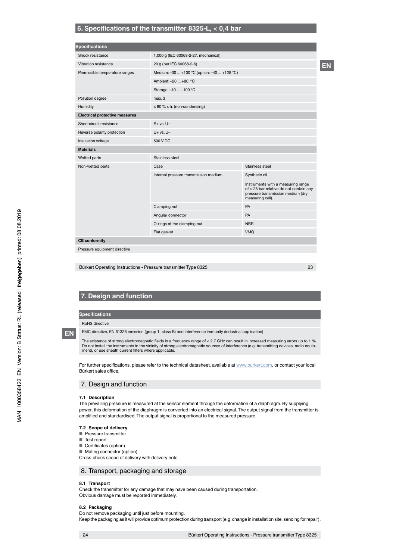# **6. Specifications of the transmitter 8325-L, < 0,4 bar**

| <b>Specifications</b>                 |                                             |                                                                                                                                        |
|---------------------------------------|---------------------------------------------|----------------------------------------------------------------------------------------------------------------------------------------|
| Shock resistance                      | 1,000 g (IEC 60068-2-27, mechanical)        |                                                                                                                                        |
| Vibration resistance                  | 20 g (per IEC 60068-2-6)                    |                                                                                                                                        |
| Permissible temperature ranges        | Medium: -30  +100 °C (option: -40  +125 °C) |                                                                                                                                        |
|                                       | Ambient: -20  +80 °C                        |                                                                                                                                        |
|                                       | Storage: -40  +100 °C                       |                                                                                                                                        |
| Pollution degree                      | max.3                                       |                                                                                                                                        |
| Humidity                              | $\leq$ 80 % r. h. (non-condensing)          |                                                                                                                                        |
| <b>Electrical protective measures</b> |                                             |                                                                                                                                        |
| Short-circuit resistance              | $S + vs. U -$                               |                                                                                                                                        |
| Reverse polarity protection           | $U+vs. U-$                                  |                                                                                                                                        |
| Insulation voltage                    | 500 V DC                                    |                                                                                                                                        |
| <b>Materials</b>                      |                                             |                                                                                                                                        |
| Wetted parts                          | Stainless steel                             |                                                                                                                                        |
| Non-wetted parts                      | Case                                        | Stainless steel                                                                                                                        |
|                                       | Internal pressure transmission medium       | Synthetic oil                                                                                                                          |
|                                       |                                             | Instruments with a measuring range<br>of > 25 bar relative do not contain any<br>pressure transmission medium (dry<br>measuring cell). |
|                                       | Clamping nut                                | PA                                                                                                                                     |
|                                       | Angular connector                           | PA                                                                                                                                     |
|                                       | O-rings at the clamping nut                 | <b>NBR</b>                                                                                                                             |
|                                       |                                             |                                                                                                                                        |

Bürkert Operating Instructions - Pressure transmitter Type 8325

23

**EN**

# **7. Design and function**

**Specifications**

RoHS directive

**EN**

EMC directive, EN 61326 emission (group 1, class B) and interference immunity (industrial application)

The existence of strong electromagnetic fields in a frequency range of < 2.7 GHz can result in increased measuring errors up to 1 %. Do not install the instruments in the vicinity of strong electromagnetic sources of interference (e.g. transmitting devices, radio equip-ment), or use sheath current filters where applicable.

For further specifications, please refer to the technical datasheet, available at www.burkert.com, or contact your local Bürkert sales office.

# 7. Design and function

#### **7.1 Description**

The prevailing pressure is measured at the sensor element through the deformation of a diaphragm. By supplying power, this deformation of the diaphragm is converted into an electrical signal. The output signal from the transmitter is amplified and standardised. The output signal is proportional to the measured pressure.

#### **7.2 Scope of delivery**

- Pressure transmitter
- Test report
- Certificates (option)
- Mating connector (option)

Cross-check scope of delivery with delivery note.

#### 8. Transport, packaging and storage

#### **8.1 Transport**

Check the transmitter for any damage that may have been caused during transportation. Obvious damage must be reported immediately.

#### **8.2 Packaging**

Do not remove packaging until just before mounting. Keep the packaging as it will provide optimum protection during transport (e.g. change in installation site, sending for repair).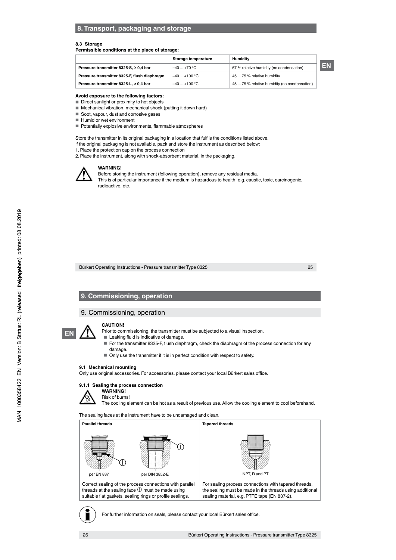# **8. Transport, packaging and storage**

#### **8.3 Storage**

#### **Permissible conditions at the place of storage:**

|                                              | Storage temperature | <b>Humidity</b>                              |    |
|----------------------------------------------|---------------------|----------------------------------------------|----|
| Pressure transmitter 8325-S, $\geq$ 0,4 bar  | $-40+70$ °C         | 67 % relative humidity (no condensation)     | EN |
| Pressure transmitter 8325-F, flush diaphragm | $-40+100 °C$        | 45  75 % relative humidity                   |    |
| Pressure transmitter 8325-L, < 0,4 bar       | $-40+100$ °C        | 45  75 % relative humidity (no condensation) |    |

#### **Avoid exposure to the following factors:**

■ Direct sunlight or proximity to hot objects

■ Mechanical vibration, mechanical shock (putting it down hard)

■ Soot, vapour, dust and corrosive gases

■ Humid or wet environment

■ Potentially explosive environments, flammable atmospheres

Store the transmitter in its original packaging in a location that fulfils the conditions listed above.

If the original packaging is not available, pack and store the instrument as described below:

1. Place the protection cap on the process connection

2. Place the instrument, along with shock-absorbent material, in the packaging.



**WARNING!**

Before storing the instrument (following operation), remove any residual media. This is of particular importance if the medium is hazardous to health, e.g. caustic, toxic, carcinogenic, radioactive, etc.

Bürkert Operating Instructions - Pressure transmitter Type 8325

25

# **9. Commissioning, operation**

# 9. Commissioning, operation



**CAUTION!**

Prior to commissioning, the transmitter must be subjected to a visual inspection.

- Leaking fluid is indicative of damage.
- For the transmitter 8325-F, flush diaphragm, check the diaphragm of the process connection for any damage.
- Only use the transmitter if it is in perfect condition with respect to safety.

# **9.1 Mechanical mounting**

Only use original accessories. For accessories, please contact your local Bürkert sales office.



Risk of burns!

The cooling element can be hot as a result of previous use. Allow the cooling element to cool beforehand.

The sealing faces at the instrument have to be undamaged and clean.

| <b>Parallel threads</b>                                                                                                                                                             | <b>Tapered threads</b>                                                                                                                                            |
|-------------------------------------------------------------------------------------------------------------------------------------------------------------------------------------|-------------------------------------------------------------------------------------------------------------------------------------------------------------------|
|                                                                                                                                                                                     |                                                                                                                                                                   |
| per EN 837<br>per DIN 3852-E                                                                                                                                                        | NPT. R and PT                                                                                                                                                     |
| Correct sealing of the process connections with parallel<br>threads at the sealing face $\mathbb O$ must be made using<br>suitable flat gaskets, sealing rings or profile sealings. | For sealing process connections with tapered threads,<br>the sealing must be made in the threads using additional<br>sealing material, e.g. PTFE tape (EN 837-2). |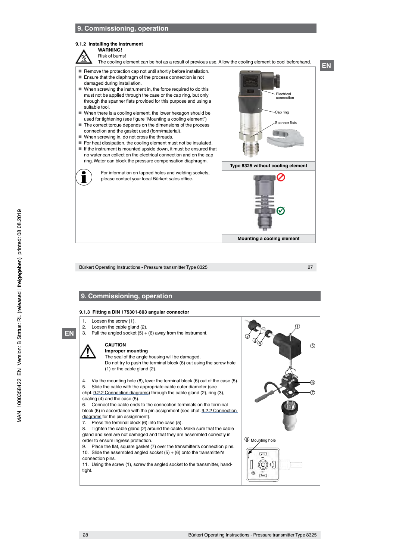# **9. Commissioning, operation**

#### **9.1.2 Installing the instrument**

#### **WARNING!** Risk of burns!

- The cooling element can be hot as a result of previous use. Allow the cooling element to cool beforehand.
- Remove the protection cap not until shortly before installation.
- Ensure that the diaphragm of the process connection is not
- damaged during installation. ■ When screwing the instrument in, the force required to do this must not be applied through the case or the cap ring, but only through the spanner flats provided for this purpose and using a suitable tool.
- When there is a cooling element, the lower hexagon should be used for tightening (see figure "Mounting a cooling element")
- The correct torque depends on the dimensions of the process connection and the gasket used (form/material).
- When screwing in, do not cross the threads.
- For heat dissipation, the cooling element must not be insulated.
- If the instrument is mounted upside down, it must be ensured that no water can collect on the electrical connection and on the cap ring. Water can block the pressure compensation diaphragm.



For information on tapped holes and welding sockets, please contact your local Bürkert sales office.



**Mounting a cooling element**

Bürkert Operating Instructions - Pressure transmitter Type 8325

27

**EN**

# **9. Commissioning, operation**

#### **9.1.3 Fitting a DIN 175301-803 angular connector**

1. Loosen the screw (1).<br>2. Loosen the cable glar

**EN**

- 2. Loosen the cable gland  $(2)$ .<br>3. Pull the angled socket  $(5) +$ 
	- Pull the angled socket  $(5) + (6)$  away from the instrument.

# **CAUTION**

- **Improper mounting**
- The seal of the angle housing will be damaged. Do not try to push the terminal block (6) out using the screw hole (1) or the cable gland (2).
- 4. Via the mounting hole (8), lever the terminal block (6) out of the case (5).
- 5. Slide the cable with the appropriate cable outer diameter (see
- chpt. 9.2.2 Connection diagrams) through the cable gland (2), ring (3),
- sealing (4) and the case (5). 6. Connect the cable ends to the connection terminals on the terminal

block (6) in accordance with the pin assignment (see chpt. 9.2.2 Connection diagrams for the pin assignment).

- 7. Press the terminal block (6) into the case (5).
- 8. Tighten the cable gland (2) around the cable. Make sure that the cable gland and seal are not damaged and that they are assembled correctly in order to ensure ingress protection.
- 9. Place the flat, square gasket (7) over the transmitter's connection pins. 10. Slide the assembled angled socket  $(5) + (6)$  onto the transmitter's connection pins.

11. Using the screw (1), screw the angled socket to the transmitter, handtight.

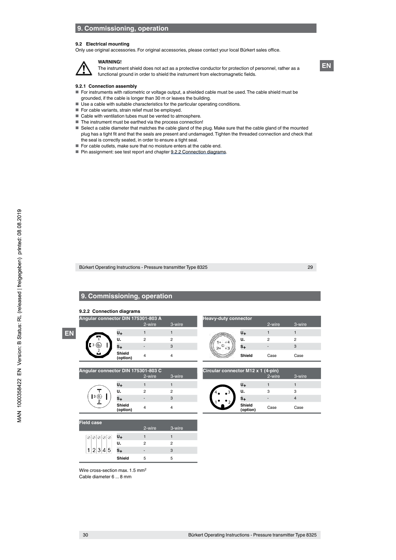# **9. Commissioning, operation**

#### **9.2 Electrical mounting**

Only use original accessories. For original accessories, please contact your local Bürkert sales office.



The instrument shield does not act as a protective conductor for protection of personnel, rather as a functional ground in order to shield the instrument from electromagnetic fields.

#### **9.2.1 Connection assembly**

**WARNING!**

- For instruments with ratiometric or voltage output, a shielded cable must be used. The cable shield must be grounded, if the cable is longer than 30 m or leaves the building.
- Use a cable with suitable characteristics for the particular operating conditions.
- For cable variants, strain relief must be employed.
- Cable with ventilation tubes must be vented to atmosphere.
- The instrument must be earthed via the process connection!
- Select a cable diameter that matches the cable gland of the plug. Make sure that the cable gland of the mounted plug has a tight fit and that the seals are present and undamaged. Tighten the threaded connection and check that the seal is correctly seated, in order to ensure a tight seal.
- For cable outlets, make sure that no moisture enters at the cable end.
- Pin assignment: see test report and chapter 9.2.2 Connection diagrams.

Bürkert Operating Instructions - Pressure transmitter Type 8325

# **9. Commissioning, operation**

**9.2.2 Connection diagrams**

|    | Angular connector DIN 175301-803 A |                    | 2-wire | 3-wire         | <b>Heavy-duty connector</b>        |        | 2-wire | 3-wire |
|----|------------------------------------|--------------------|--------|----------------|------------------------------------|--------|--------|--------|
| EN |                                    | U+                 |        |                |                                    | U+     |        |        |
|    |                                    | U.                 | 2      | $\overline{2}$ |                                    | U.     | っ      |        |
|    | [3 (©)                             |                    |        | 3              |                                    | S+     |        |        |
|    |                                    | Shield<br>(option) | 4      |                |                                    | Shield | Case   | Case   |
|    | Angular connector DIN 175301-803 C |                    |        |                | Circular connector M12 y 1 (4-nin) |        |        |        |

 $2-$ wir

| quiar connector DIN 175301-803 C |                    | <b>Circular connector M1</b> |        |  |                   |
|----------------------------------|--------------------|------------------------------|--------|--|-------------------|
|                                  |                    | 2-wire                       | 3-wire |  |                   |
|                                  | U+                 |                              |        |  | U+                |
|                                  | U.                 | 2                            | 2      |  | U.                |
| $3$ $\circledcirc$               | S+                 |                              |        |  | $S_{4}$           |
|                                  | Shield<br>(option) |                              |        |  | Shield<br>(optior |

|                | 2-wire | 3-wire |
|----------------|--------|--------|
| U+             |        |        |
| U.             | 2      | 2      |
| s <sub>+</sub> |        | 3      |
| Shield         | Case   | Case   |
|                |        |        |

| 91 PHY 17990 I 999 U |        |        | $O$ and $O$ and $O$ and $O$ and $O$ and $O$ and $O$ and $O$ |                          |        |  |
|----------------------|--------|--------|-------------------------------------------------------------|--------------------------|--------|--|
|                      | 2-wire | 3-wire |                                                             | 2-wire                   | 3-wire |  |
| U+                   |        |        | U+                                                          |                          |        |  |
| U.                   |        |        | U.<br>۹.                                                    |                          |        |  |
| $s_{+}$              |        | 3      | $s_{+}$                                                     | $\overline{\phantom{0}}$ |        |  |
| Shield<br>(option)   |        |        | Shield<br>(option)                                          | Case                     | Case   |  |

| $\oslash$ | U+      |                          |   |  |
|-----------|---------|--------------------------|---|--|
|           | U.      | ο                        | 2 |  |
|           | $s_{+}$ | $\overline{\phantom{a}}$ | З |  |
|           | Shield  | 5                        | 5 |  |

Wire cross-section max. 1.5 mm<sup>2</sup> Cable diameter 6 ... 8 mm

29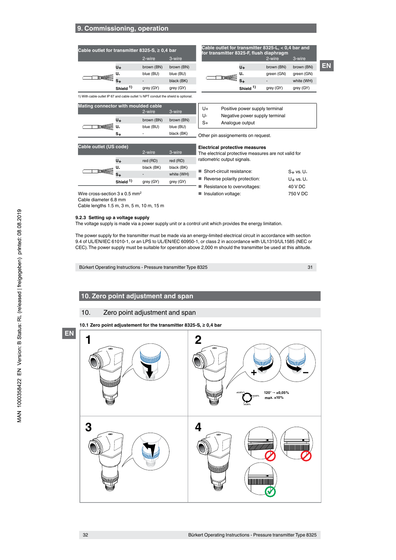# **9. Commissioning, operation**

| Cable outlet for transmitter 8325-S, $\geq$ 0,4 bar                                 |                      |            | Cable outlet for transmitter 8325-L, < 0,4 bar and<br>for transmitter 8325-F, flush diaphragm |  |                      |            |           |
|-------------------------------------------------------------------------------------|----------------------|------------|-----------------------------------------------------------------------------------------------|--|----------------------|------------|-----------|
|                                                                                     |                      | 2-wire     | 3-wire                                                                                        |  |                      | 2-wire     | 3-wire    |
|                                                                                     | U+                   | brown (BN) | brown (BN)                                                                                    |  | U+                   | brown (BN) | brown (BN |
|                                                                                     | U.                   | blue (BU)  | blue (BU)                                                                                     |  | U.                   | green (GN) | green (GN |
|                                                                                     |                      |            | black (BK)                                                                                    |  | $S_{+}$              |            | white (WH |
|                                                                                     | Shield <sup>1)</sup> | grey (GY)  | grey (GY)                                                                                     |  | Shield <sup>1)</sup> | grey (GY)  | grey (GY) |
| 1) With cable outlet IP 67 and cable outlet 1/2 NPT conduit the shield is optional. |                      |            |                                                                                               |  |                      |            |           |
| Matina compostor with movilated colded                                              |                      |            |                                                                                               |  |                      |            |           |

|                             | ransmitter 8325-S, $\geq 0.4$ bar |            | Cable outlet for transmitter 8325-L, < 0,4 bar and<br>for transmitter 8325-F, flush diaphragm |                             |            |            |
|-----------------------------|-----------------------------------|------------|-----------------------------------------------------------------------------------------------|-----------------------------|------------|------------|
|                             | 2-wire                            | 3-wire     |                                                                                               |                             | 2-wire     | 3-wire     |
| U+                          | brown (BN)                        | brown (BN) |                                                                                               | U+                          | brown (BN) | brown (BN) |
| U.                          | blue (BU)                         | blue (BU)  |                                                                                               | U.                          | green (GN) | green (GN) |
| $S_{+}$                     |                                   | black (BK) |                                                                                               |                             | -          | white (WH) |
| $\sim$ $\sim$ $\sim$ $\sim$ | $\sim$                            | $\sim$     |                                                                                               | $\sim$ $\sim$ $\sim$ $\sim$ | $\sim$     | $\sim$     |

| <b>Mating connector with moulded cable</b> |     |            |            |  |
|--------------------------------------------|-----|------------|------------|--|
|                                            |     | 2-wire     | 3-wire     |  |
|                                            | U+  | brown (BN) | brown (BN) |  |
|                                            | ÈU. | blue (BU)  | blue (BU)  |  |
|                                            | S+  |            | black (BK) |  |

| U+ | Positive power supply terminal |
|----|--------------------------------|
| U- | Negative power supply terminal |
| S+ | Analogue output                |

Other pin assignements on request.

#### **Electrical protective measures**

The electrical protective measures are not valid for ratiometric output signals.

| ■ Short-circuit resistance:  | $S + vs. U -$         |
|------------------------------|-----------------------|
| Reverse polarity protection: | U <sub>+</sub> vs. U- |
| Resistance to overvoltages:  | 40 V DC               |
| Insulation voltage:          | 750 V DC              |
|                              |                       |

31

**EN**

Wire cross-section 3 x 0.5 mm<sup>2</sup> Cable diameter 6.8 mm

**Cable outlet (US code)**

 $\overline{\mathbb{T}}$ 

Cable lengths 1.5 m, 3 m, 5 m, 10 m, 15 m

#### **9.2.3 Setting up a voltage supply**

The voltage supply is made via a power supply unit or a control unit which provides the energy limitation.

The power supply for the transmitter must be made via an energy-limited electrical circuit in accordance with section 9.4 of UL/EN/IEC 61010-1, or an LPS to UL/EN/IEC 60950-1, or class 2 in accordance with UL1310/UL1585 (NEC or CEC). The power supply must be suitable for operation above 2,000 m should the transmitter be used at this altitude.

Bürkert Operating Instructions - Pressure transmitter Type 8325

# **10. Zero point adjustment and span**

# 10. Zero point adjustment and span

**10.1 Zero point adjustement for the transmitter 8325-S, ≥ 0,4 bar**



# $3$ -wire **U+** red (RD) red (RD) **U-** black (BK) black (BK) **S+** - white (WH)

| Shield <sup>1)</sup>            | grey (GY)               | grey (GY) | Reverse polarity protection: |
|---------------------------------|-------------------------|-----------|------------------------------|
|                                 |                         |           | Resistance to overvoltages:  |
| 3 x 0.5 mm <sup>2</sup><br>8 mm |                         |           | Insulation voltage:          |
|                                 | m, 3 m, 5 m, 10 m, 15 m |           |                              |
|                                 |                         |           |                              |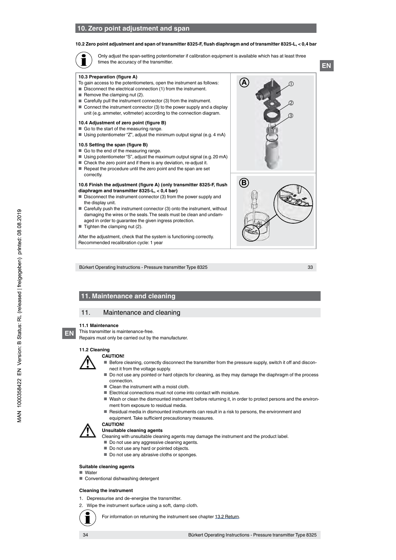# **10. Zero point adjustment and span**

#### **10.2 Zero point adjustment and span of transmitter 8325-F, flush diaphragm and of transmitter 8325-L, < 0,4 bar**

Only adjust the span-setting potentiometer if calibration equipment is available which has at least three times the accuracy of the transmitter.

#### **10.3 Preparation (figure A)**

- To gain access to the potentiometers, open the instrument as follows:
- Disconnect the electrical connection (1) from the instrument.
- Remove the clamping nut (2).
- Carefully pull the instrument connector (3) from the instrument.
- Connect the instrument connector (3) to the power supply and a display unit (e.g. ammeter, voltmeter) according to the connection diagram.

#### **10.4 Adjustment of zero point (figure B)**

- Go to the start of the measuring range.
- Using potentiometer "Z", adjust the minimum output signal (e.g. 4 mA)

#### **10.5 Setting the span (figure B)**

- Go to the end of the measuring range.
- Using potentiometer "S", adjust the maximum output signal (e.g. 20 mA)
- Check the zero point and if there is any deviation, re-adjust it. ■ Repeat the procedure until the zero point and the span are set
- correctly.

#### **10.6 Finish the adjustment (figure A) (only transmitter 8325-F, flush diaphragm and transmitter 8325-L, < 0,4 bar)**

- Disconnect the instrument connector (3) from the power supply and the display unit.
- Carefully push the instrument connector (3) onto the instrument, without damaging the wires or the seals. The seals must be clean and undamaged in order to guarantee the given ingress protection.
- $\blacksquare$  Tighten the clamping nut (2).

After the adjustment, check that the system is functioning correctly. Recommended recalibration cycle: 1 year





Bürkert Operating Instructions - Pressure transmitter Type 8325

33

# **11. Maintenance and cleaning**

# 11. Maintenance and cleaning

#### **11.1 Maintenance**

This transmitter is maintenance-free.

Repairs must only be carried out by the manufacturer.

# **11.2 Cleaning**



**EN**

# **CAUTION!**

- Before cleaning, correctly disconnect the transmitter from the pressure supply, switch it off and disconnect it from the voltage supply.
- Do not use any pointed or hard objects for cleaning, as they may damage the diaphragm of the process connection.
- Clean the instrument with a moist cloth.
- Electrical connections must not come into contact with moisture.
- Wash or clean the dismounted instrument before returning it, in order to protect persons and the environment from exposure to residual media.
- Residual media in dismounted instruments can result in a risk to persons, the environment and equipment. Take sufficient precautionary measures.
- **CAUTION!**

#### **Unsuitable cleaning agents**

- Cleaning with unsuitable cleaning agents may damage the instrument and the product label.
- Do not use any aggressive cleaning agents.
- Do not use any hard or pointed objects.
- Do not use any abrasive cloths or sponges.

#### **Suitable cleaning agents**

#### ■ Water

■ Conventional dishwashing detergent

#### **Cleaning the instrument**

- 1. Depressurise and de-energise the transmitter.
- 2. Wipe the instrument surface using a soft, damp cloth.



For information on returning the instrument see chapter 13.2 Return.

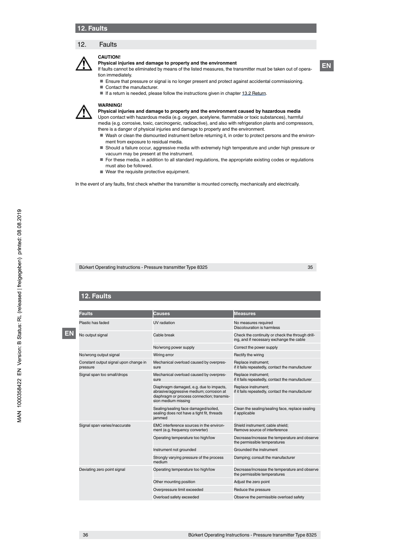# 12. Faults



#### **Physical injuries and damage to property and the environment**

If faults cannot be eliminated by means of the listed measures, the transmitter must be taken out of operation immediately.

- Ensure that pressure or signal is no longer present and protect against accidental commissioning.
- Contact the manufacturer.
- If a return is needed, please follow the instructions given in chapter 13.2 Return.

#### **WARNING!**

**CAUTION!**

**Physical injuries and damage to property and the environment caused by hazardous media**

- Upon contact with hazardous media (e.g. oxygen, acetylene, flammable or toxic substances), harmful media (e.g. corrosive, toxic, carcinogenic, radioactive), and also with refrigeration plants and compressors, there is a danger of physical injuries and damage to property and the environment.
- Wash or clean the dismounted instrument before returning it, in order to protect persons and the environment from exposure to residual media.
- Should a failure occur, aggressive media with extremely high temperature and under high pressure or vacuum may be present at the instrument.
- For these media, in addition to all standard regulations, the appropriate existing codes or regulations must also be followed.
- Wear the requisite protective equipment.

In the event of any faults, first check whether the transmitter is mounted correctly, mechanically and electrically.

Bürkert Operating Instructions - Pressure transmitter Type 8325

# 35

**EN**

# **12. Faults**

|  | <b>Faults</b>                                     | Causes                                                                                                                                                   | <b>Measures</b>                                                                              |
|--|---------------------------------------------------|----------------------------------------------------------------------------------------------------------------------------------------------------------|----------------------------------------------------------------------------------------------|
|  | Plastic has faded                                 | <b>UV</b> radiation                                                                                                                                      | No measures required<br>Discolouration is harmless                                           |
|  | No output signal                                  | Cable break                                                                                                                                              | Check the continuity or check the through drill-<br>ing, and if necessary exchange the cable |
|  |                                                   | No/wrong power supply                                                                                                                                    | Correct the power supply                                                                     |
|  | No/wrong output signal                            | Wiring error                                                                                                                                             | Rectify the wiring                                                                           |
|  | Constant output signal upon change in<br>pressure | Mechanical overload caused by overpres-<br>sure                                                                                                          | Replace instrument;<br>if it fails repeatedly, contact the manufacturer                      |
|  | Signal span too small/drops                       | Mechanical overload caused by overpres-<br>sure                                                                                                          | Replace instrument;<br>if it fails repeatedly, contact the manufacturer                      |
|  |                                                   | Diaphragm damaged, e.g. due to impacts,<br>abrasive/aggressive medium; corrosion at<br>diaphragm or process connection; transmis-<br>sion medium missing | Replace instrument;<br>if it fails repeatedly, contact the manufacturer                      |
|  |                                                   | Sealing/sealing face damaged/soiled,<br>sealing does not have a tight fit, threads<br>iammed                                                             | Clean the sealing/sealing face, replace sealing<br>if applicable                             |
|  | Signal span varies/inaccurate                     | EMC interference sources in the environ-<br>ment (e.g. frequency converter)                                                                              | Shield instrument; cable shield;<br>Remove source of interference                            |
|  |                                                   | Operating temperature too high/low                                                                                                                       | Decrease/increase the temperature and observe<br>the permissible temperatures                |
|  |                                                   | Instrument not grounded                                                                                                                                  | Grounded the instrument                                                                      |
|  |                                                   | Strongly varying pressure of the process<br>medium                                                                                                       | Damping; consult the manufacturer                                                            |
|  | Deviating zero point signal                       | Operating temperature too high/low                                                                                                                       | Decrease/increase the temperature and observe<br>the permissible temperatures                |
|  |                                                   | Other mounting position                                                                                                                                  | Adjust the zero point                                                                        |
|  |                                                   | Overpressure limit exceeded                                                                                                                              | Reduce the pressure                                                                          |
|  |                                                   | Overload safety exceeded                                                                                                                                 | Observe the permissible overload safety                                                      |
|  |                                                   |                                                                                                                                                          |                                                                                              |

36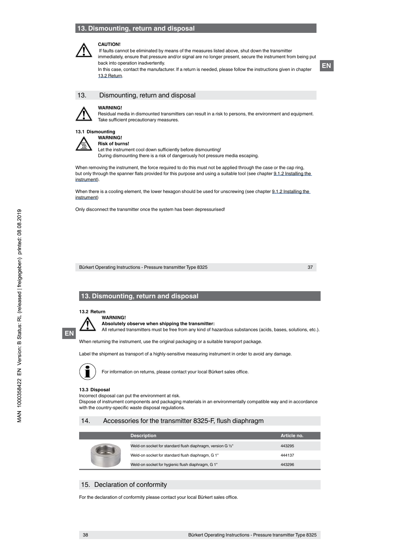# **13. Dismounting, return and disposal**



## **CAUTION!**

 If faults cannot be eliminated by means of the measures listed above, shut down the transmitter immediately, ensure that pressure and/or signal are no longer present, secure the instrument from being put back into operation inadvertently. In this case, contact the manufacturer. If a return is needed, please follow the instructions given in chapter



13. Dismounting, return and disposal



**WARNING!**

13.2 Return.

Residual media in dismounted transmitters can result in a risk to persons, the environment and equipment. Take sufficient precautionary measures.

#### **13.1 Dismounting WARNING!**



**Risk of burns!** Let the instrument cool down sufficiently before dismounting! During dismounting there is a risk of dangerously hot pressure media escaping.

When removing the instrument, the force required to do this must not be applied through the case or the cap ring, but only through the spanner flats provided for this purpose and using a suitable tool (see chapter 9.1.2 Installing the instrument).

When there is a cooling element, the lower hexagon should be used for unscrewing (see chapter 9.1.2 Installing the instrument)

Only disconnect the transmitter once the system has been depressurised!

Bürkert Operating Instructions - Pressure transmitter Type 8325

37

# **13. Dismounting, return and disposal**

**13.2 Return**



**WARNING! Absolutely observe when shipping the transmitter:**

All returned transmitters must be free from any kind of hazardous substances (acids, bases, solutions, etc.).

When returning the instrument, use the original packaging or a suitable transport package.

Label the shipment as transport of a highly-sensitive measuring instrument in order to avoid any damage.



For information on returns, please contact your local Bürkert sales office.

#### **13.3 Disposal**

Incorrect disposal can put the environment at risk.

Dispose of instrument components and packaging materials in an environmentally compatible way and in accordance with the country-specific waste disposal regulations.

# 14. Accessories for the transmitter 8325-F, flush diaphragm

|  | <b>Description</b>                                          | Article no. |
|--|-------------------------------------------------------------|-------------|
|  | Weld-on socket for standard flush diaphragm, version G 1/2" | 443295      |
|  | Weld-on socket for standard flush diaphragm, G 1"           | 444137      |
|  | Weld-on socket for hygienic flush diaphragm, G 1"           | 443296      |

### 15. Declaration of conformity

For the declaration of conformity please contact your local Bürkert sales office.